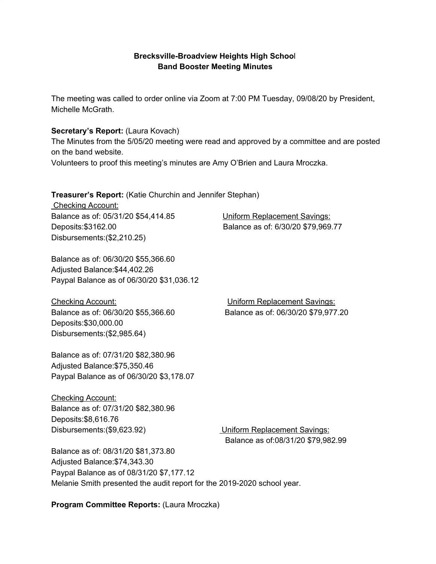### **Brecksville-Broadview Heights High Schoo**l **Band Booster Meeting Minutes**

The meeting was called to order online via Zoom at 7:00 PM Tuesday, 09/08/20 by President, Michelle McGrath.

### **Secretary's Report:** (Laura Kovach)

The Minutes from the 5/05/20 meeting were read and approved by a committee and are posted on the band website.

Volunteers to proof this meeting's minutes are Amy O'Brien and Laura Mroczka.

#### **Treasurer's Report:** (Katie Churchin and Jennifer Stephan)

Checking Account: Balance as of: 05/31/20 \$54,414.85 Uniform Replacement Savings: Deposits:\$3162.00 Balance as of: 6/30/20 \$79,969.77 Disbursements:(\$2,210.25)

Balance as of: 06/30/20 \$55,366.60 Adjusted Balance:\$44,402.26 Paypal Balance as of 06/30/20 \$31,036.12

Checking Account: Uniform Replacement Savings: Balance as of: 06/30/20 \$55,366.60 Balance as of: 06/30/20 \$79,977.20 Deposits:\$30,000.00 Disbursements:(\$2,985.64)

Balance as of: 07/31/20 \$82,380.96 Adjusted Balance:\$75,350.46 Paypal Balance as of 06/30/20 \$3,178.07

Checking Account: Balance as of: 07/31/20 \$82,380.96 Deposits:\$8,616.76 Disbursements:(\$9,623.92) Uniform Replacement Savings:

Balance as of:08/31/20 \$79,982.99

Balance as of: 08/31/20 \$81,373.80 Adjusted Balance:\$74,343.30 Paypal Balance as of 08/31/20 \$7,177.12 Melanie Smith presented the audit report for the 2019-2020 school year.

**Program Committee Reports:** (Laura Mroczka)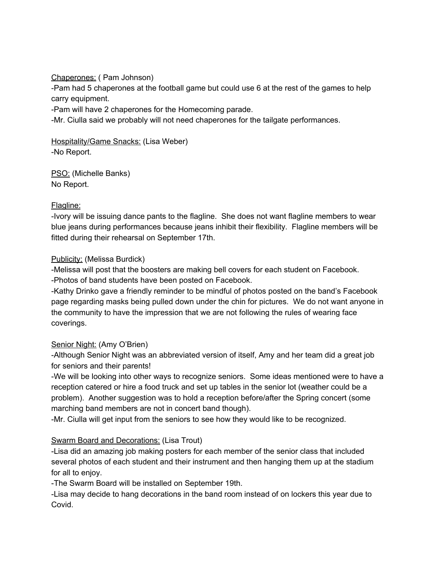Chaperones: ( Pam Johnson)

-Pam had 5 chaperones at the football game but could use 6 at the rest of the games to help carry equipment.

-Pam will have 2 chaperones for the Homecoming parade.

-Mr. Ciulla said we probably will not need chaperones for the tailgate performances.

Hospitality/Game Snacks: (Lisa Weber) -No Report.

PSO: (Michelle Banks) No Report.

### Flagline:

-Ivory will be issuing dance pants to the flagline. She does not want flagline members to wear blue jeans during performances because jeans inhibit their flexibility. Flagline members will be fitted during their rehearsal on September 17th.

#### Publicity: (Melissa Burdick)

-Melissa will post that the boosters are making bell covers for each student on Facebook. -Photos of band students have been posted on Facebook.

-Kathy Drinko gave a friendly reminder to be mindful of photos posted on the band's Facebook page regarding masks being pulled down under the chin for pictures. We do not want anyone in the community to have the impression that we are not following the rules of wearing face coverings.

### Senior Night: (Amy O'Brien)

-Although Senior Night was an abbreviated version of itself, Amy and her team did a great job for seniors and their parents!

-We will be looking into other ways to recognize seniors. Some ideas mentioned were to have a reception catered or hire a food truck and set up tables in the senior lot (weather could be a problem). Another suggestion was to hold a reception before/after the Spring concert (some marching band members are not in concert band though).

-Mr. Ciulla will get input from the seniors to see how they would like to be recognized.

### Swarm Board and Decorations: (Lisa Trout)

-Lisa did an amazing job making posters for each member of the senior class that included several photos of each student and their instrument and then hanging them up at the stadium for all to enjoy.

-The Swarm Board will be installed on September 19th.

-Lisa may decide to hang decorations in the band room instead of on lockers this year due to Covid.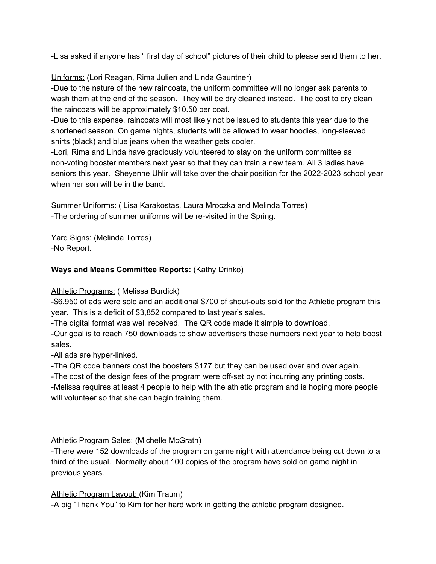-Lisa asked if anyone has " first day of school" pictures of their child to please send them to her.

Uniforms: (Lori Reagan, Rima Julien and Linda Gauntner)

-Due to the nature of the new raincoats, the uniform committee will no longer ask parents to wash them at the end of the season. They will be dry cleaned instead. The cost to dry clean the raincoats will be approximately \$10.50 per coat.

-Due to this expense, raincoats will most likely not be issued to students this year due to the shortened season. On game nights, students will be allowed to wear hoodies, long-sleeved shirts (black) and blue jeans when the weather gets cooler.

-Lori, Rima and Linda have graciously volunteered to stay on the uniform committee as non-voting booster members next year so that they can train a new team. All 3 ladies have seniors this year. Sheyenne Uhlir will take over the chair position for the 2022-2023 school year when her son will be in the band.

Summer Uniforms: ( Lisa Karakostas, Laura Mroczka and Melinda Torres) -The ordering of summer uniforms will be re-visited in the Spring.

Yard Signs: (Melinda Torres) -No Report.

## **Ways and Means Committee Reports:** (Kathy Drinko)

### Athletic Programs: ( Melissa Burdick)

-\$6,950 of ads were sold and an additional \$700 of shout-outs sold for the Athletic program this year. This is a deficit of \$3,852 compared to last year's sales.

-The digital format was well received. The QR code made it simple to download.

-Our goal is to reach 750 downloads to show advertisers these numbers next year to help boost sales.

-All ads are hyper-linked.

-The QR code banners cost the boosters \$177 but they can be used over and over again.

-The cost of the design fees of the program were off-set by not incurring any printing costs.

-Melissa requires at least 4 people to help with the athletic program and is hoping more people will volunteer so that she can begin training them.

### Athletic Program Sales: (Michelle McGrath)

-There were 152 downloads of the program on game night with attendance being cut down to a third of the usual. Normally about 100 copies of the program have sold on game night in previous years.

### Athletic Program Layout: (Kim Traum)

-A big "Thank You" to Kim for her hard work in getting the athletic program designed.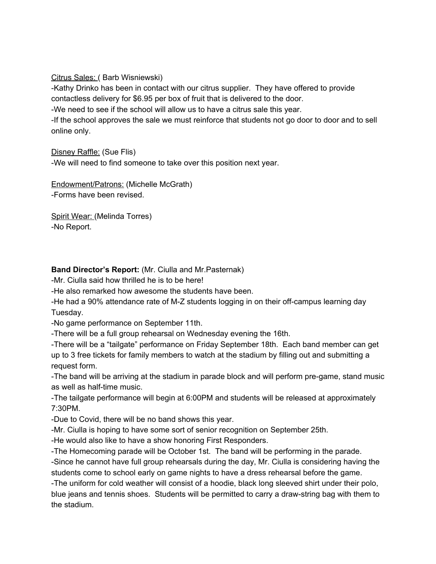Citrus Sales: ( Barb Wisniewski)

-Kathy Drinko has been in contact with our citrus supplier. They have offered to provide contactless delivery for \$6.95 per box of fruit that is delivered to the door.

-We need to see if the school will allow us to have a citrus sale this year.

-If the school approves the sale we must reinforce that students not go door to door and to sell online only.

Disney Raffle: (Sue Flis)

-We will need to find someone to take over this position next year.

Endowment/Patrons: (Michelle McGrath) -Forms have been revised.

Spirit Wear: (Melinda Torres) -No Report.

### **Band Director's Report:** (Mr. Ciulla and Mr.Pasternak)

-Mr. Ciulla said how thrilled he is to be here!

-He also remarked how awesome the students have been.

-He had a 90% attendance rate of M-Z students logging in on their off-campus learning day Tuesday.

-No game performance on September 11th.

-There will be a full group rehearsal on Wednesday evening the 16th.

-There will be a "tailgate" performance on Friday September 18th. Each band member can get up to 3 free tickets for family members to watch at the stadium by filling out and submitting a request form.

-The band will be arriving at the stadium in parade block and will perform pre-game, stand music as well as half-time music.

-The tailgate performance will begin at 6:00PM and students will be released at approximately 7:30PM.

-Due to Covid, there will be no band shows this year.

-Mr. Ciulla is hoping to have some sort of senior recognition on September 25th.

-He would also like to have a show honoring First Responders.

-The Homecoming parade will be October 1st. The band will be performing in the parade.

-Since he cannot have full group rehearsals during the day, Mr. Ciulla is considering having the students come to school early on game nights to have a dress rehearsal before the game.

-The uniform for cold weather will consist of a hoodie, black long sleeved shirt under their polo, blue jeans and tennis shoes. Students will be permitted to carry a draw-string bag with them to the stadium.